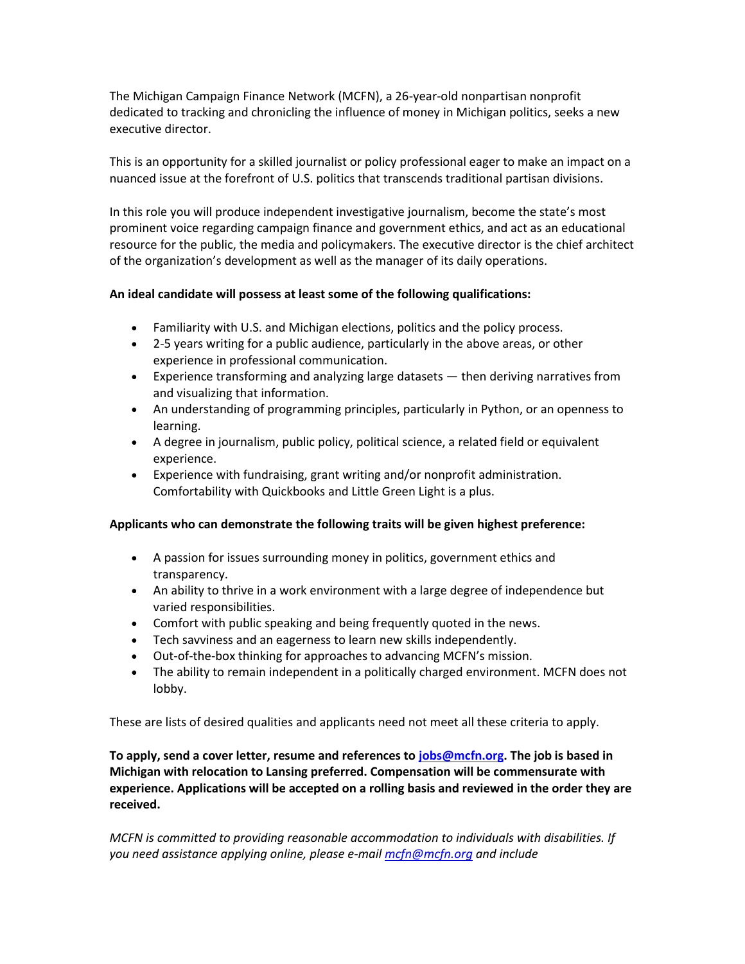The Michigan Campaign Finance Network (MCFN), a 26-year-old nonpartisan nonprofit dedicated to tracking and chronicling the influence of money in Michigan politics, seeks a new executive director.

This is an opportunity for a skilled journalist or policy professional eager to make an impact on a nuanced issue at the forefront of U.S. politics that transcends traditional partisan divisions.

In this role you will produce independent investigative journalism, become the state's most prominent voice regarding campaign finance and government ethics, and act as an educational resource for the public, the media and policymakers. The executive director is the chief architect of the organization's development as well as the manager of its daily operations.

## **An ideal candidate will possess at least some of the following qualifications:**

- Familiarity with U.S. and Michigan elections, politics and the policy process.
- 2-5 years writing for a public audience, particularly in the above areas, or other experience in professional communication.
- Experience transforming and analyzing large datasets then deriving narratives from and visualizing that information.
- An understanding of programming principles, particularly in Python, or an openness to learning.
- A degree in journalism, public policy, political science, a related field or equivalent experience.
- Experience with fundraising, grant writing and/or nonprofit administration. Comfortability with Quickbooks and Little Green Light is a plus.

## **Applicants who can demonstrate the following traits will be given highest preference:**

- A passion for issues surrounding money in politics, government ethics and transparency.
- An ability to thrive in a work environment with a large degree of independence but varied responsibilities.
- Comfort with public speaking and being frequently quoted in the news.
- Tech savviness and an eagerness to learn new skills independently.
- Out-of-the-box thinking for approaches to advancing MCFN's mission.
- The ability to remain independent in a politically charged environment. MCFN does not lobby.

These are lists of desired qualities and applicants need not meet all these criteria to apply.

**To apply, send a cover letter, resume and references to [jobs@mcfn.org.](mailto:jobs@mcfn.org) The job is based in Michigan with relocation to Lansing preferred. Compensation will be commensurate with experience. Applications will be accepted on a rolling basis and reviewed in the order they are received.**

*MCFN is committed to providing reasonable accommodation to individuals with disabilities. If you need assistance applying online, please e-mail [mcfn@mcfn.org](mailto:mcfn@mcfn.org) and include*